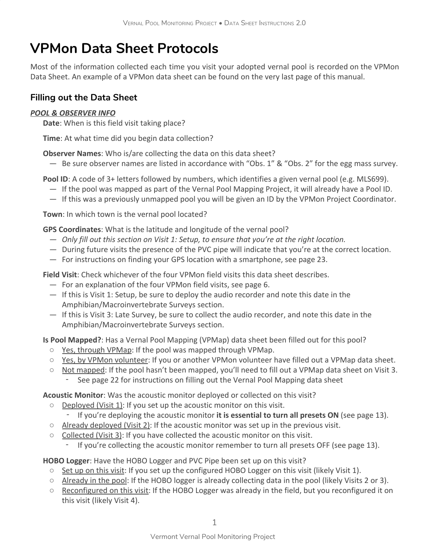# VPMon Data Sheet Protocols

Most of the information collected each time you visit your adopted vernal pool is recorded on the VPMon Data Sheet. An example of a VPMon data sheet can be found on the very last page of this manual.

### Filling out the Data Sheet

#### POOL & OBSERVER INFO

Date: When is this field visit taking place?

Time: At what time did you begin data collection?

Observer Names: Who is/are collecting the data on this data sheet?

— Be sure observer names are listed in accordance with "Obs. 1" & "Obs. 2" for the egg mass survey.

Pool ID: A code of 3+ letters followed by numbers, which identifies a given vernal pool (e.g. MLS699).

- If the pool was mapped as part of the Vernal Pool Mapping Project, it will already have a Pool ID.
- If this was a previously unmapped pool you will be given an ID by the VPMon Project Coordinator.

Town: In which town is the vernal pool located?

GPS Coordinates: What is the latitude and longitude of the vernal pool?

- Only fill out this section on Visit 1: Setup, to ensure that you're at the right location.
- During future visits the presence of the PVC pipe will indicate that you're at the correct location.
- For instructions on finding your GPS location with a smartphone, see page 23.

Field Visit: Check whichever of the four VPMon field visits this data sheet describes.

- For an explanation of the four VPMon field visits, see page 6.
- If this is Visit 1: Setup, be sure to deploy the audio recorder and note this date in the Amphibian/Macroinvertebrate Surveys section.
- If this is Visit 3: Late Survey, be sure to collect the audio recorder, and note this date in the Amphibian/Macroinvertebrate Surveys section.

Is Pool Mapped?: Has a Vernal Pool Mapping (VPMap) data sheet been filled out for this pool?

- Yes, through VPMap: If the pool was mapped through VPMap.
- Yes, by VPMon volunteer: If you or another VPMon volunteer have filled out a VPMap data sheet.
- Not mapped: If the pool hasn't been mapped, you'll need to fill out a VPMap data sheet on Visit 3.
	- ‑ See page 22 for instructions on filling out the Vernal Pool Mapping data sheet

Acoustic Monitor: Was the acoustic monitor deployed or collected on this visit?

- Deployed (Visit 1): If you set up the acoustic monitor on this visit.
	- ‑ If you're deploying the acoustic monitor it is essential to turn all presets ON (see page 13).
- $\circ$  Already deployed (Visit 2): If the acoustic monitor was set up in the previous visit.
- $\circ$  Collected (Visit 3): If you have collected the acoustic monitor on this visit.
	- ‑ If you're collecting the acoustic monitor remember to turn all presets OFF (see page 13).

HOBO Logger: Have the HOBO Logger and PVC Pipe been set up on this visit?

- Set up on this visit: If you set up the configured HOBO Logger on this visit (likely Visit 1).
- Already in the pool: If the HOBO logger is already collecting data in the pool (likely Visits 2 or 3).
- $\circ$  Reconfigured on this visit: If the HOBO Logger was already in the field, but you reconfigured it on this visit (likely Visit 4).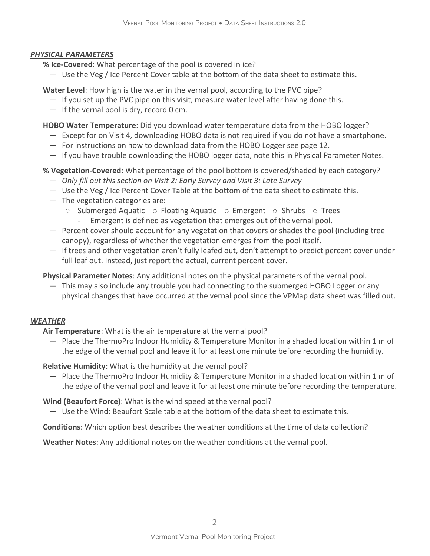#### PHYSICAL PARAMETERS

- % Ice-Covered: What percentage of the pool is covered in ice?
	- Use the Veg / Ice Percent Cover table at the bottom of the data sheet to estimate this.

Water Level: How high is the water in the vernal pool, according to the PVC pipe?

- If you set up the PVC pipe on this visit, measure water level after having done this.
- $-$  If the vernal pool is dry, record 0 cm.

HOBO Water Temperature: Did you download water temperature data from the HOBO logger?

- Except for on Visit 4, downloading HOBO data is not required if you do not have a smartphone.
- For instructions on how to download data from the HOBO Logger see page 12.
- If you have trouble downloading the HOBO logger data, note this in Physical Parameter Notes.

% Vegetation-Covered: What percentage of the pool bottom is covered/shaded by each category?

- Only fill out this section on Visit 2: Early Survey and Visit 3: Late Survey
- Use the Veg / Ice Percent Cover Table at the bottom of the data sheet to estimate this.
- The vegetation categories are:
	- Submerged Aquatic o Floating Aquatic o Emergent o Shrubs o Trees Emergent is defined as vegetation that emerges out of the vernal pool.
- Percent cover should account for any vegetation that covers or shades the pool (including tree canopy), regardless of whether the vegetation emerges from the pool itself.
- If trees and other vegetation aren't fully leafed out, don't attempt to predict percent cover under full leaf out. Instead, just report the actual, current percent cover.

Physical Parameter Notes: Any additional notes on the physical parameters of the vernal pool.

— This may also include any trouble you had connecting to the submerged HOBO Logger or any physical changes that have occurred at the vernal pool since the VPMap data sheet was filled out.

#### **WEATHER**

Air Temperature: What is the air temperature at the vernal pool?

— Place the ThermoPro Indoor Humidity & Temperature Monitor in a shaded location within 1 m of the edge of the vernal pool and leave it for at least one minute before recording the humidity.

Relative Humidity: What is the humidity at the vernal pool?

— Place the ThermoPro Indoor Humidity & Temperature Monitor in a shaded location within 1 m of the edge of the vernal pool and leave it for at least one minute before recording the temperature.

Wind (Beaufort Force): What is the wind speed at the vernal pool?

— Use the Wind: Beaufort Scale table at the bottom of the data sheet to estimate this.

Conditions: Which option best describes the weather conditions at the time of data collection?

Weather Notes: Any additional notes on the weather conditions at the vernal pool.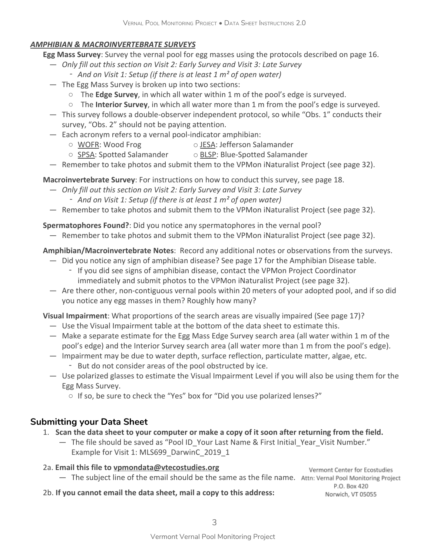#### AMPHIBIAN & MACROINVERTEBRATE SURVEYS

- Egg Mass Survey: Survey the vernal pool for egg masses using the protocols described on page 16.
	- Only fill out this section on Visit 2: Early Survey and Visit 3: Late Survey
		- And on Visit 1: Setup (if there is at least 1 m<sup>2</sup> of open water)
	- The Egg Mass Survey is broken up into two sections:
		- $\circ$  The Edge Survey, in which all water within 1 m of the pool's edge is surveyed.
		- $\circ$  The Interior Survey, in which all water more than 1 m from the pool's edge is surveyed.
	- This survey follows a double-observer independent protocol, so while "Obs. 1" conducts their survey, "Obs. 2" should not be paying attention.
	- Each acronym refers to a vernal pool-indicator amphibian:
		- WOFR: Wood Frog 
		and O JESA: Jefferson Salamander
		- SPSA: Spotted Salamander 
		 BLSP: Blue-Spotted Salamander
	- Remember to take photos and submit them to the VPMon iNaturalist Project (see page 32).

Macroinvertebrate Survey: For instructions on how to conduct this survey, see page 18.

- Only fill out this section on Visit 2: Early Survey and Visit 3: Late Survey
	- And on Visit 1: Setup (if there is at least 1 m<sup>2</sup> of open water)
- Remember to take photos and submit them to the VPMon iNaturalist Project (see page 32).

Spermatophores Found?: Did you notice any spermatophores in the vernal pool?

— Remember to take photos and submit them to the VPMon iNaturalist Project (see page 32).

#### Amphibian/Macroinvertebrate Notes: Record any additional notes or observations from the surveys.

- Did you notice any sign of amphibian disease? See page 17 for the Amphibian Disease table.
	- ‑ If you did see signs of amphibian disease, contact the VPMon Project Coordinator immediately and submit photos to the VPMon iNaturalist Project (see page 32).
- Are there other, non-contiguous vernal pools within 20 meters of your adopted pool, and if so did you notice any egg masses in them? Roughly how many?

Visual Impairment: What proportions of the search areas are visually impaired (See page 17)?

- Use the Visual Impairment table at the bottom of the data sheet to estimate this.
- Make a separate estimate for the Egg Mass Edge Survey search area (all water within 1 m of the pool's edge) and the Interior Survey search area (all water more than 1 m from the pool's edge).
- Impairment may be due to water depth, surface reflection, particulate matter, algae, etc.
	- ‑ But do not consider areas of the pool obstructed by ice.
- Use polarized glasses to estimate the Visual Impairment Level if you will also be using them for the Egg Mass Survey.
	- If so, be sure to check the "Yes" box for "Did you use polarized lenses?"

## Submitting your Data Sheet

- 1. Scan the data sheet to your computer or make a copy of it soon after returning from the field.
	- The file should be saved as "Pool ID\_Your Last Name & First Initial\_Year\_Visit Number." Example for Visit 1: MLS699\_DarwinC\_2019\_1
- 2a. Email this file to vpmondata@vtecostudies.org — The subject line of the email should be the same as the file name. Attn: Vernal Pool Monitoring Project

Vermont Center for Ecostudies P.O. Box 420 Norwich, VT 05055

2b. If you cannot email the data sheet, mail a copy to this address: